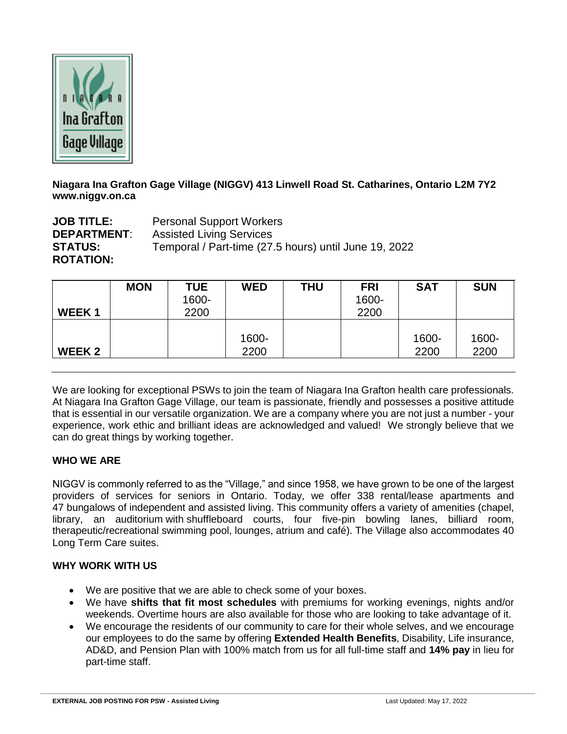

**Niagara Ina Grafton Gage Village (NIGGV) 413 Linwell Road St. Catharines, Ontario L2M 7Y2 www.niggv.on.ca**

**JOB TITLE:** Personal Support Workers **DEPARTMENT**: Assisted Living Services **STATUS:** Temporal / Part-time (27.5 hours) until June 19, 2022 **ROTATION:**

|                   | <b>MON</b> | <b>TUE</b><br>1600- | <b>WED</b> | THU | <b>FRI</b><br>1600- | <b>SAT</b> | <b>SUN</b> |
|-------------------|------------|---------------------|------------|-----|---------------------|------------|------------|
| <b>WEEK1</b>      |            | 2200                |            |     | 2200                |            |            |
|                   |            |                     |            |     |                     |            |            |
|                   |            |                     | 1600-      |     |                     | 1600-      | 1600-      |
| WEEK <sub>2</sub> |            |                     | 2200       |     |                     | 2200       | 2200       |

We are looking for exceptional PSWs to join the team of Niagara Ina Grafton health care professionals. At Niagara Ina Grafton Gage Village, our team is passionate, friendly and possesses a positive attitude that is essential in our versatile organization. We are a company where you are not just a number - your experience, work ethic and brilliant ideas are acknowledged and valued! We strongly believe that we can do great things by working together.

## **WHO WE ARE**

NIGGV is commonly referred to as the "Village," and since 1958, we have grown to be one of the largest providers of services for seniors in Ontario. Today, we offer 338 rental/lease apartments and 47 bungalows of independent and assisted living. This community offers a variety of amenities (chapel, library, an auditorium with shuffleboard courts, four five-pin bowling lanes, billiard room, therapeutic/recreational swimming pool, lounges, atrium and café). The Village also accommodates 40 Long Term Care suites.

## **WHY WORK WITH US**

- We are positive that we are able to check some of your boxes.
- We have **shifts that fit most schedules** with premiums for working evenings, nights and/or weekends. Overtime hours are also available for those who are looking to take advantage of it.
- We encourage the residents of our community to care for their whole selves, and we encourage our employees to do the same by offering **Extended Health Benefits**, Disability, Life insurance, AD&D, and Pension Plan with 100% match from us for all full-time staff and **14% pay** in lieu for part-time staff.